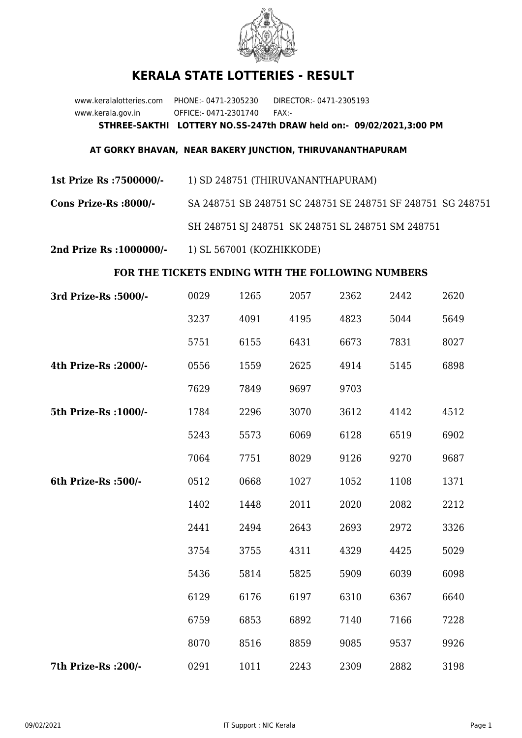

## **KERALA STATE LOTTERIES - RESULT**

www.keralalotteries.com PHONE:- 0471-2305230 DIRECTOR:- 0471-2305193 www.kerala.gov.in OFFICE:- 0471-2301740 FAX:- **STHREE-SAKTHI LOTTERY NO.SS-247th DRAW held on:- 09/02/2021,3:00 PM**

## **AT GORKY BHAVAN, NEAR BAKERY JUNCTION, THIRUVANANTHAPURAM**

**1st Prize Rs :7500000/-** 1) SD 248751 (THIRUVANANTHAPURAM)

**Cons Prize-Rs :8000/-** SA 248751 SB 248751 SC 248751 SE 248751 SF 248751 SG 248751 SH 248751 SJ 248751 SK 248751 SL 248751 SM 248751

**2nd Prize Rs :1000000/-** 1) SL 567001 (KOZHIKKODE)

## **FOR THE TICKETS ENDING WITH THE FOLLOWING NUMBERS**

| 3rd Prize-Rs : 5000/- | 0029 | 1265 | 2057 | 2362 | 2442 | 2620 |
|-----------------------|------|------|------|------|------|------|
|                       | 3237 | 4091 | 4195 | 4823 | 5044 | 5649 |
|                       | 5751 | 6155 | 6431 | 6673 | 7831 | 8027 |
| 4th Prize-Rs : 2000/- | 0556 | 1559 | 2625 | 4914 | 5145 | 6898 |
|                       | 7629 | 7849 | 9697 | 9703 |      |      |
| 5th Prize-Rs : 1000/- | 1784 | 2296 | 3070 | 3612 | 4142 | 4512 |
|                       | 5243 | 5573 | 6069 | 6128 | 6519 | 6902 |
|                       | 7064 | 7751 | 8029 | 9126 | 9270 | 9687 |
| 6th Prize-Rs :500/-   | 0512 | 0668 | 1027 | 1052 | 1108 | 1371 |
|                       | 1402 | 1448 | 2011 | 2020 | 2082 | 2212 |
|                       | 2441 | 2494 | 2643 | 2693 | 2972 | 3326 |
|                       | 3754 | 3755 | 4311 | 4329 | 4425 | 5029 |
|                       | 5436 | 5814 | 5825 | 5909 | 6039 | 6098 |
|                       | 6129 | 6176 | 6197 | 6310 | 6367 | 6640 |
|                       | 6759 | 6853 | 6892 | 7140 | 7166 | 7228 |
|                       | 8070 | 8516 | 8859 | 9085 | 9537 | 9926 |
| 7th Prize-Rs : 200/-  | 0291 | 1011 | 2243 | 2309 | 2882 | 3198 |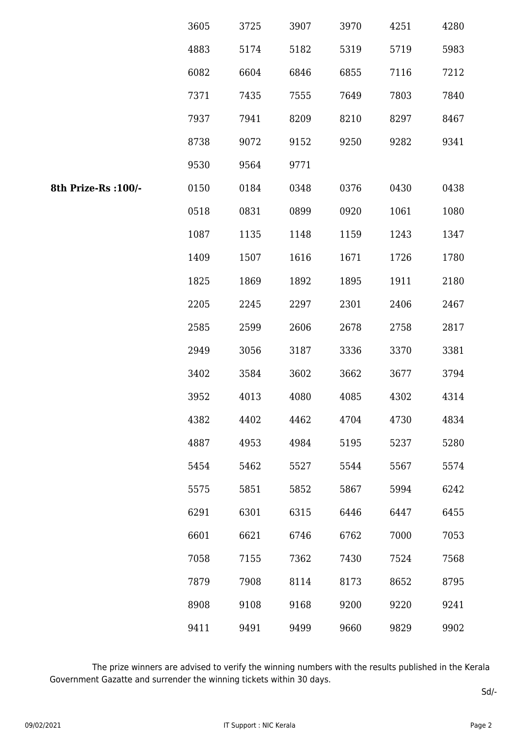|                     | 3605 | 3725 | 3907 | 3970 | 4251 | 4280 |
|---------------------|------|------|------|------|------|------|
|                     | 4883 | 5174 | 5182 | 5319 | 5719 | 5983 |
|                     | 6082 | 6604 | 6846 | 6855 | 7116 | 7212 |
|                     | 7371 | 7435 | 7555 | 7649 | 7803 | 7840 |
|                     | 7937 | 7941 | 8209 | 8210 | 8297 | 8467 |
|                     | 8738 | 9072 | 9152 | 9250 | 9282 | 9341 |
|                     | 9530 | 9564 | 9771 |      |      |      |
| 8th Prize-Rs :100/- | 0150 | 0184 | 0348 | 0376 | 0430 | 0438 |
|                     | 0518 | 0831 | 0899 | 0920 | 1061 | 1080 |
|                     | 1087 | 1135 | 1148 | 1159 | 1243 | 1347 |
|                     | 1409 | 1507 | 1616 | 1671 | 1726 | 1780 |
|                     | 1825 | 1869 | 1892 | 1895 | 1911 | 2180 |
|                     | 2205 | 2245 | 2297 | 2301 | 2406 | 2467 |
|                     | 2585 | 2599 | 2606 | 2678 | 2758 | 2817 |
|                     | 2949 | 3056 | 3187 | 3336 | 3370 | 3381 |
|                     | 3402 | 3584 | 3602 | 3662 | 3677 | 3794 |
|                     | 3952 | 4013 | 4080 | 4085 | 4302 | 4314 |
|                     | 4382 | 4402 | 4462 | 4704 | 4730 | 4834 |
|                     | 4887 | 4953 | 4984 | 5195 | 5237 | 5280 |
|                     | 5454 | 5462 | 5527 | 5544 | 5567 | 5574 |
|                     | 5575 | 5851 | 5852 | 5867 | 5994 | 6242 |
|                     | 6291 | 6301 | 6315 | 6446 | 6447 | 6455 |
|                     | 6601 | 6621 | 6746 | 6762 | 7000 | 7053 |
|                     | 7058 | 7155 | 7362 | 7430 | 7524 | 7568 |
|                     | 7879 | 7908 | 8114 | 8173 | 8652 | 8795 |
|                     | 8908 | 9108 | 9168 | 9200 | 9220 | 9241 |
|                     | 9411 | 9491 | 9499 | 9660 | 9829 | 9902 |

 The prize winners are advised to verify the winning numbers with the results published in the Kerala Government Gazatte and surrender the winning tickets within 30 days.